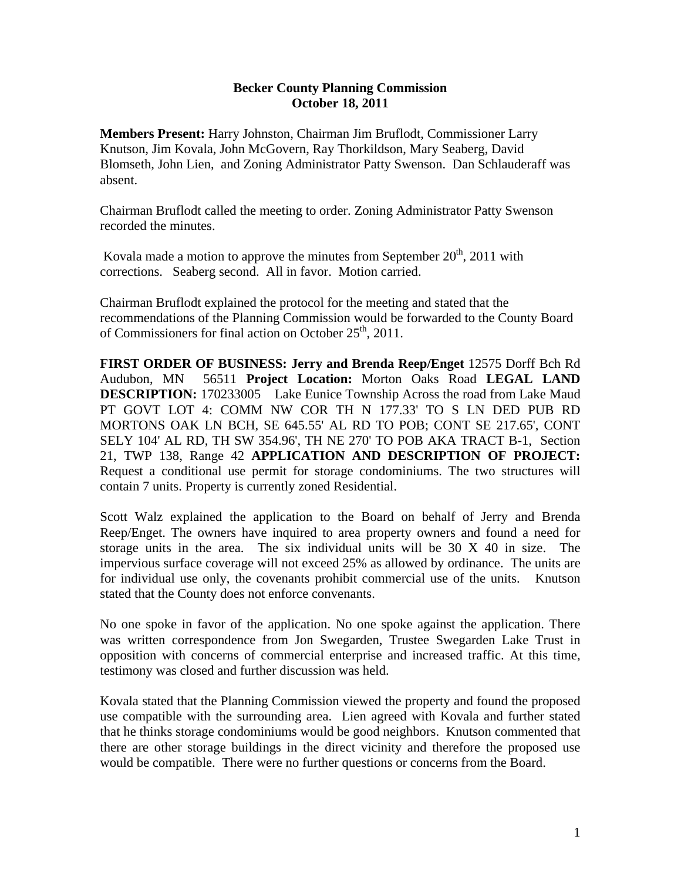## **Becker County Planning Commission October 18, 2011**

**Members Present:** Harry Johnston, Chairman Jim Bruflodt, Commissioner Larry Knutson, Jim Kovala, John McGovern, Ray Thorkildson, Mary Seaberg, David Blomseth, John Lien, and Zoning Administrator Patty Swenson. Dan Schlauderaff was absent.

Chairman Bruflodt called the meeting to order. Zoning Administrator Patty Swenson recorded the minutes.

Kovala made a motion to approve the minutes from September  $20<sup>th</sup>$ , 2011 with corrections. Seaberg second. All in favor. Motion carried.

Chairman Bruflodt explained the protocol for the meeting and stated that the recommendations of the Planning Commission would be forwarded to the County Board of Commissioners for final action on October  $25<sup>th</sup>$ , 2011.

**FIRST ORDER OF BUSINESS: Jerry and Brenda Reep/Enget** 12575 Dorff Bch Rd Audubon, MN 56511 **Project Location:** Morton Oaks Road **LEGAL LAND DESCRIPTION:** 170233005 Lake Eunice Township Across the road from Lake Maud PT GOVT LOT 4: COMM NW COR TH N 177.33' TO S LN DED PUB RD MORTONS OAK LN BCH, SE 645.55' AL RD TO POB; CONT SE 217.65', CONT SELY 104' AL RD, TH SW 354.96', TH NE 270' TO POB AKA TRACT B-1, Section 21, TWP 138, Range 42 **APPLICATION AND DESCRIPTION OF PROJECT:** Request a conditional use permit for storage condominiums. The two structures will contain 7 units. Property is currently zoned Residential.

Scott Walz explained the application to the Board on behalf of Jerry and Brenda Reep/Enget. The owners have inquired to area property owners and found a need for storage units in the area. The six individual units will be 30 X 40 in size. The impervious surface coverage will not exceed 25% as allowed by ordinance. The units are for individual use only, the covenants prohibit commercial use of the units. Knutson stated that the County does not enforce convenants.

No one spoke in favor of the application. No one spoke against the application. There was written correspondence from Jon Swegarden, Trustee Swegarden Lake Trust in opposition with concerns of commercial enterprise and increased traffic. At this time, testimony was closed and further discussion was held.

Kovala stated that the Planning Commission viewed the property and found the proposed use compatible with the surrounding area. Lien agreed with Kovala and further stated that he thinks storage condominiums would be good neighbors. Knutson commented that there are other storage buildings in the direct vicinity and therefore the proposed use would be compatible. There were no further questions or concerns from the Board.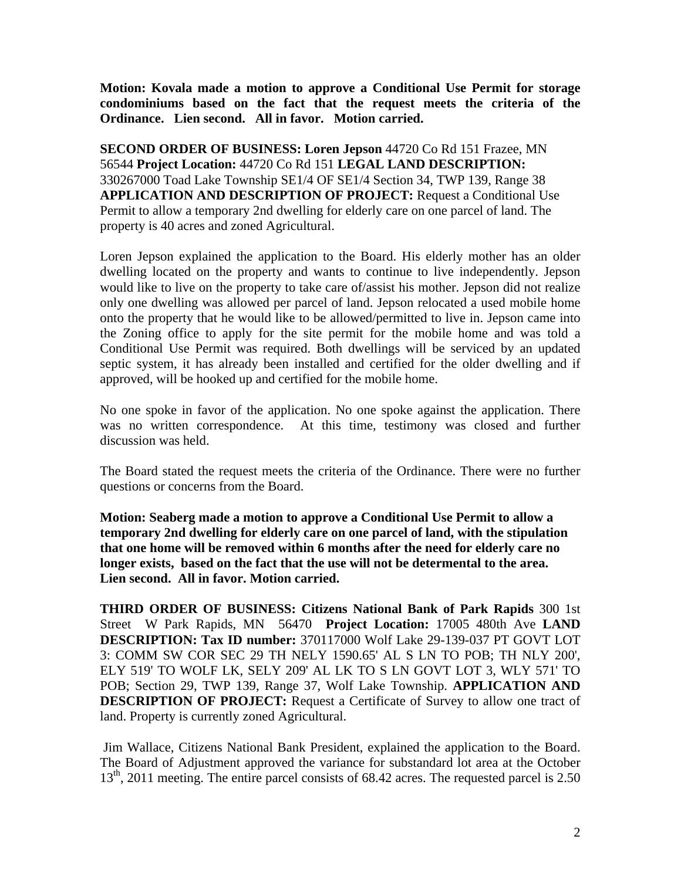**Motion: Kovala made a motion to approve a Conditional Use Permit for storage condominiums based on the fact that the request meets the criteria of the Ordinance. Lien second. All in favor. Motion carried.** 

**SECOND ORDER OF BUSINESS: Loren Jepson** 44720 Co Rd 151 Frazee, MN 56544 **Project Location:** 44720 Co Rd 151 **LEGAL LAND DESCRIPTION:** 330267000 Toad Lake Township SE1/4 OF SE1/4 Section 34, TWP 139, Range 38 **APPLICATION AND DESCRIPTION OF PROJECT:** Request a Conditional Use Permit to allow a temporary 2nd dwelling for elderly care on one parcel of land. The property is 40 acres and zoned Agricultural.

Loren Jepson explained the application to the Board. His elderly mother has an older dwelling located on the property and wants to continue to live independently. Jepson would like to live on the property to take care of/assist his mother. Jepson did not realize only one dwelling was allowed per parcel of land. Jepson relocated a used mobile home onto the property that he would like to be allowed/permitted to live in. Jepson came into the Zoning office to apply for the site permit for the mobile home and was told a Conditional Use Permit was required. Both dwellings will be serviced by an updated septic system, it has already been installed and certified for the older dwelling and if approved, will be hooked up and certified for the mobile home.

No one spoke in favor of the application. No one spoke against the application. There was no written correspondence. At this time, testimony was closed and further discussion was held.

The Board stated the request meets the criteria of the Ordinance. There were no further questions or concerns from the Board.

**Motion: Seaberg made a motion to approve a Conditional Use Permit to allow a temporary 2nd dwelling for elderly care on one parcel of land, with the stipulation that one home will be removed within 6 months after the need for elderly care no longer exists, based on the fact that the use will not be determental to the area. Lien second. All in favor. Motion carried.** 

**THIRD ORDER OF BUSINESS: Citizens National Bank of Park Rapids** 300 1st Street W Park Rapids, MN 56470 **Project Location:** 17005 480th Ave **LAND DESCRIPTION: Tax ID number:** 370117000 Wolf Lake 29-139-037 PT GOVT LOT 3: COMM SW COR SEC 29 TH NELY 1590.65' AL S LN TO POB; TH NLY 200', ELY 519' TO WOLF LK, SELY 209' AL LK TO S LN GOVT LOT 3, WLY 571' TO POB; Section 29, TWP 139, Range 37, Wolf Lake Township. **APPLICATION AND DESCRIPTION OF PROJECT:** Request a Certificate of Survey to allow one tract of land. Property is currently zoned Agricultural.

Jim Wallace, Citizens National Bank President, explained the application to the Board. The Board of Adjustment approved the variance for substandard lot area at the October 13<sup>th</sup>, 2011 meeting. The entire parcel consists of 68.42 acres. The requested parcel is 2.50